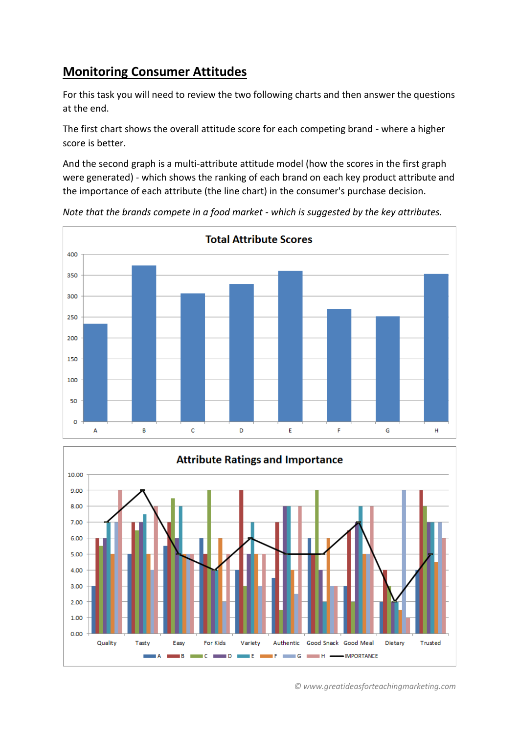## **Monitoring Consumer Attitudes**

For this task you will need to review the two following charts and then answer the questions at the end.

The first chart shows the overall attitude score for each competing brand - where a higher score is better.

And the second graph is a multi-attribute attitude model (how the scores in the first graph were generated) - which shows the ranking of each brand on each key product attribute and the importance of each attribute (the line chart) in the consumer's purchase decision.



*Note that the brands compete in a food market - which is suggested by the key attributes.*



*© www.greatideasforteachingmarketing.com*